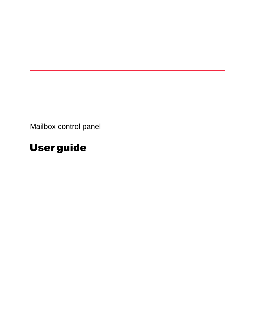Mailbox control panel

# User guide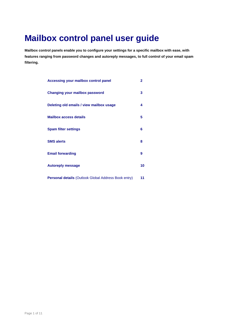## **Mailbox control panel user guide**

**Mailbox control panels enable you to configure your settings for a specific mailbox with ease, with features ranging from password changes and autoreply messages, to full control of your email spam filtering.** 

| <b>Accessing your mailbox control panel</b>          | $\mathbf{2}$ |
|------------------------------------------------------|--------------|
| <b>Changing your mailbox password</b>                | 3            |
| Deleting old emails / view mailbox usage             | 4            |
| <b>Mailbox access details</b>                        | 5            |
| <b>Spam filter settings</b>                          | 6            |
| <b>SMS alerts</b>                                    | 8            |
| <b>Email forwarding</b>                              | 9            |
| <b>Autoreply message</b>                             | 10           |
| Personal details (Outlook Global Address Book entry) | 11           |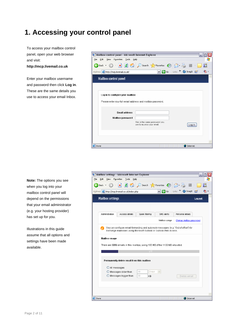### **1. Accessing your control panel**

To access your mailbox control panel, open your web browser and visit:

#### **http://mcp.livemail.co.uk**

Enter your mailbox username and password then click **Log in**. These are the same details you use to access your email Inbox.

| Edit<br>Eile<br>View<br>Favorites<br>Tools<br>Help                                          |  |
|---------------------------------------------------------------------------------------------|--|
|                                                                                             |  |
| $\mathbf{x}$ $\mathbf{z}$ $\mathbf{z}$<br>Search <b>A</b> Favorites <b>3</b><br>的<br>Back * |  |
| SnagIt Et<br>Address <b>&amp;</b> http://mcp.livemail.co.uk/<br>٧<br>고                      |  |
| <b>Mailbox control panel</b>                                                                |  |
|                                                                                             |  |
| Log in to configure your mailbox                                                            |  |
| Please enter your full email address and mailbox password.                                  |  |
| <b>Email address</b>                                                                        |  |
| Mailbox password                                                                            |  |
| This is the same password you<br>use to access your email.<br>Log in                        |  |
|                                                                                             |  |
|                                                                                             |  |
| el Done<br><b>O</b> Internet                                                                |  |

**Note:** The options you see when you log into your mailbox control panel will depend on the permissions that your email administrator (e.g. your hosting provider) has set up for you.

Illustrations in this guide assume that all options and settings have been made available.

| Mailbox settings - Microsoft Internet Explorer                                                                                                                                                                                                                   | □<br>÷. |
|------------------------------------------------------------------------------------------------------------------------------------------------------------------------------------------------------------------------------------------------------------------|---------|
| Edit<br>Favorites<br>Tools<br>File<br>View<br>Help                                                                                                                                                                                                               |         |
| e<br>Search $\sqrt{\phantom{a}}$ Favorites $\odot$<br>Back +<br>×                                                                                                                                                                                                |         |
| Address <b>&amp;</b> http://mcp.livemail.co.uk/index.php<br>$\Rightarrow$ Go<br>SnagIt<br>白<br>Links<br>M                                                                                                                                                        | ъ       |
| <b>Mailbox settings</b><br>Log out                                                                                                                                                                                                                               |         |
|                                                                                                                                                                                                                                                                  |         |
| Personal details<br>Administration<br>Access details<br>Sparn filtering<br>SMS alerts                                                                                                                                                                            |         |
| Change mailbox password<br>Mailbox usage                                                                                                                                                                                                                         |         |
| You can configure email forwarding and autoreply messages (e.g. "Out of office") for<br>7<br>Exchange mailboxes using Microsoft Outlook or Outlook Web Access.<br>Mailbox usage<br>There are 5096 emails in this mailbox, using 195 MB of the 1100 MB allocated. |         |
| 17%                                                                                                                                                                                                                                                              |         |
| Permanently delete email from this mailbox                                                                                                                                                                                                                       |         |
| O All messages                                                                                                                                                                                                                                                   |         |
| $\bigcirc$ Messages older than<br>30<br>Days                                                                                                                                                                                                                     |         |
| $\bigcirc$ Messages bigger than<br>30<br>KB<br>Delete email                                                                                                                                                                                                      |         |
|                                                                                                                                                                                                                                                                  |         |
|                                                                                                                                                                                                                                                                  |         |
| <b>Done</b><br><b>D</b> Internet                                                                                                                                                                                                                                 |         |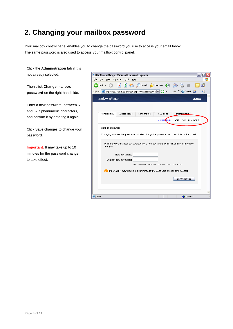### **2. Changing your mailbox password**

Your mailbox control panel enables you to change the password you use to access your email Inbox. The same password is also used to access your mailbox control panel.

Click the **Administration** tab if it is not already selected.

Then click **Change mailbox password** on the right hand side.

Enter a new password, between 6 and 32 alphanumeric characters, and confirm it by entering it again.

Click Save changes to change your password.

**Important:** It may take up to 10 minutes for the password change to take effect.

|                         |                                                                                    | Mailbox settings - Microsoft Internet Explorer      |                     |                                                                                                                                                                                     |
|-------------------------|------------------------------------------------------------------------------------|-----------------------------------------------------|---------------------|-------------------------------------------------------------------------------------------------------------------------------------------------------------------------------------|
| Edit<br>View            | Favorites<br>Tools<br>Help                                                         |                                                     |                     |                                                                                                                                                                                     |
| Back *                  | $\mathbf{x}$ $\mathbf{z}$                                                          | Search <b>R</b> Favorites <b>C</b>                  |                     |                                                                                                                                                                                     |
|                         | Address <b>&amp;</b> http://mcp.livemail.co.uk/index.php?m=excadmin&s=cha v   > Go |                                                     |                     | SnagIt<br>Links                                                                                                                                                                     |
| <b>Mailbox settings</b> |                                                                                    |                                                     |                     | Log out                                                                                                                                                                             |
|                         |                                                                                    |                                                     |                     |                                                                                                                                                                                     |
|                         |                                                                                    |                                                     |                     |                                                                                                                                                                                     |
| Administration          | Access details                                                                     | Spam filtering                                      | SMS alerts          | Personal details                                                                                                                                                                    |
|                         |                                                                                    |                                                     | Mailbox <i>Sage</i> | Change mailbox password                                                                                                                                                             |
|                         |                                                                                    |                                                     |                     |                                                                                                                                                                                     |
|                         |                                                                                    |                                                     |                     |                                                                                                                                                                                     |
| changes.                |                                                                                    |                                                     |                     | Changing your mailbox password will also change the password to access this control panel.<br>To change your mailbox password, enter a new password, confirm it and then click Save |
|                         | New password:                                                                      |                                                     |                     |                                                                                                                                                                                     |
|                         | Confirm new password:                                                              |                                                     |                     |                                                                                                                                                                                     |
|                         |                                                                                    | Your password must be 6-32 alphanumeric characters. |                     |                                                                                                                                                                                     |
|                         |                                                                                    |                                                     |                     |                                                                                                                                                                                     |
|                         | Important: It may take up to 10 minutes for the password change to take effect.    |                                                     |                     |                                                                                                                                                                                     |
|                         |                                                                                    |                                                     |                     | Save changes                                                                                                                                                                        |
|                         |                                                                                    |                                                     |                     |                                                                                                                                                                                     |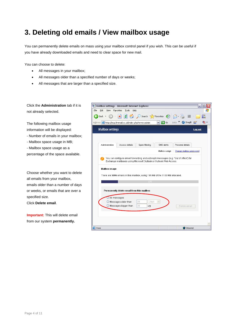#### **3. Deleting old emails / View mailbox usage**

You can permanently delete emails on mass using your mailbox control panel if you wish. This can be useful if you have already downloaded emails and need to clear space for new mail.

You can choose to delete:

- All messages in your mailbox;
- All messages older than a specified number of days or weeks;
- All messages that are larger than a specified size.

Click the **Administration** tab if it is not already selected.

The following mailbox usage information will be displayed:

- Number of emails in your mailbox;
- Mailbox space usage in MB;
- Mailbox space usage as a

percentage of the space available.

Choose whether you want to delete all emails from your mailbox, emails older than a number of days or weeks, or emails that are over a specified size. Click **Delete email**.

**Important:** This will delete email from our system **permanently.** 

| Mailbox settings - Microsoft Internet Explorer                                                                                                                                                                                                                   |   |
|------------------------------------------------------------------------------------------------------------------------------------------------------------------------------------------------------------------------------------------------------------------|---|
| Edit<br>Tools<br>Eile<br>Favorites<br>Help<br>View                                                                                                                                                                                                               |   |
|                                                                                                                                                                                                                                                                  |   |
| ø<br>Search $\sqrt{\phantom{a}}$ Favorites $\phantom{a}$<br>×<br>Back *                                                                                                                                                                                          |   |
| »<br>SnaqIt<br>$\Rightarrow$ Go<br>Links<br>Address <b>&amp; http://mcp.livemail.co.uk/index.php?m=excadmin</b><br>ET<br>٧                                                                                                                                       | ۹ |
| <b>Mailbox settings</b><br>Log out                                                                                                                                                                                                                               |   |
|                                                                                                                                                                                                                                                                  |   |
| Access details<br>Spam filtering<br>Personal details<br>Administration<br>SMS alerts                                                                                                                                                                             |   |
| Change mailbox password<br>Mailbox usage                                                                                                                                                                                                                         |   |
| You can configure email forwarding and autoreply messages (e.g. "Out of office") for<br>7<br>Exchange mailboxes using Microsoft Outlook or Outlook Web Access.<br>Mailbox usage<br>There are 5096 emails in this mailbox, using 195 MB of the 1100 MB allocated. |   |
| 17%                                                                                                                                                                                                                                                              |   |
| Permanently delete email from this mailbox                                                                                                                                                                                                                       |   |
| All messages                                                                                                                                                                                                                                                     |   |
| 30<br>Messages older than<br>Days<br>v                                                                                                                                                                                                                           |   |
| $\bigcirc$ Messages bigger than<br>30<br>KB<br>Delete email                                                                                                                                                                                                      |   |
| <b>Done</b><br><b>D</b> Internet                                                                                                                                                                                                                                 |   |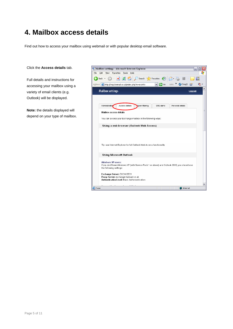#### **4. Mailbox access details**

Find out how to access your mailbox using webmail or with popular desktop email software.

#### Click the **Access details** tab.

Full details and instructions for accessing your mailbox using a variety of email clients (e.g. Outlook) will be displayed.

**Note:** the details displayed will depend on your type of mailbox.

| Mailbox settings - Microsoft Internet Explorer                                                                                               |   |
|----------------------------------------------------------------------------------------------------------------------------------------------|---|
| Eile<br>Edit<br>Favorites<br>Tools<br>View<br>Help                                                                                           |   |
| đ١<br>Search $\sqrt{\phantom{a}}$ Favorites $\bigotimes$ $\bigotimes$<br>Back +                                                              |   |
| SnagIt<br>$\vee$ $\Rightarrow$ Go<br>Links<br>Address <b>&amp; http://mcp.livemail.co.uk/index.php?m=excinfo</b>                             |   |
| <b>Mailbox settings</b><br>Log out                                                                                                           |   |
|                                                                                                                                              |   |
| Administration<br>SMS alerts<br>Personal details<br>Access details<br>Sparn filtering                                                        |   |
| Mailbox access details                                                                                                                       | ≣ |
| You can access your Exchange mailbox in the following ways:                                                                                  |   |
| Using a web browser (Outlook Web Access)                                                                                                     |   |
|                                                                                                                                              |   |
| Tip: use Internet Explorer for full Outlook Web Access functionality.                                                                        |   |
| <b>Using Microsoft Outlook</b>                                                                                                               |   |
| Windows XP users:<br>If you don't have Windows XP (with Service Pack 1 or above) and Outlook 2003, you should use<br>the following settings: |   |
| Exchange Server: EXCH-BE01<br>Proxy Server: exchange.livemail.co.uk<br>Authentication Level: Basic Authenentication                          | ٧ |
| el Done<br><b>D</b> Internet                                                                                                                 |   |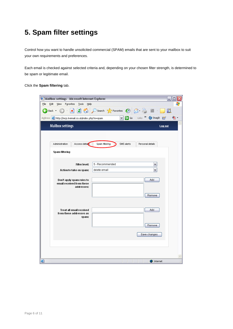### **5. Spam filter settings**

Control how you want to handle unsolicited commercial (SPAM) emails that are sent to your mailbox to suit your own requirements and preferences.

Each email is checked against selected criteria and, depending on your chosen filter strength, is determined to be spam or legitimate email.

Click the **Spam filtering** tab.

| Mailbox settings - Microsoft Internet Explorer                  |                                       |                             |                                   | - 1<br>□ |
|-----------------------------------------------------------------|---------------------------------------|-----------------------------|-----------------------------------|----------|
| Eile<br>Edit<br>Tools<br>View<br>Favorites<br>Help              |                                       |                             |                                   |          |
| 2 G<br>e<br>×Ì<br>Back $\star$                                  | O Search <b>the Favorites 8 8 - 8</b> |                             |                                   | 眨        |
| Address <b>&amp; http://mcp.livemail.co.uk/index.php?m=spam</b> |                                       | $\Rightarrow$ Go<br>$\vert$ | $Links$ $\rightarrow$<br>SnagIt E | ъ.       |
| <b>Mailbox settings</b>                                         |                                       |                             |                                   | Log out  |
| Access details<br>Administration                                | Spam filtering                        | SMS alerts                  | Personal details                  |          |
|                                                                 |                                       |                             |                                   |          |
| Spam filtering                                                  |                                       |                             |                                   |          |
| Filter level:                                                   | 5 - Recommended                       |                             | v                                 |          |
| Action to take on spam:                                         | delete email                          |                             |                                   |          |
|                                                                 |                                       |                             |                                   |          |
| Don't apply spam rules to                                       |                                       |                             | Add                               |          |
| email received from these<br>addresses:                         |                                       |                             |                                   |          |
|                                                                 |                                       |                             |                                   |          |
|                                                                 |                                       |                             | Remove                            |          |
|                                                                 |                                       |                             |                                   |          |
| Treat all email received                                        |                                       |                             | Add                               |          |
| from these addresses as<br>spam:                                |                                       |                             |                                   |          |
|                                                                 |                                       |                             |                                   |          |
|                                                                 |                                       |                             | Remove                            |          |
|                                                                 |                                       |                             | Save changes                      |          |
|                                                                 |                                       |                             |                                   |          |
|                                                                 |                                       |                             |                                   |          |
|                                                                 |                                       |                             |                                   |          |
|                                                                 |                                       |                             |                                   |          |
| 8                                                               |                                       |                             | <b>D</b> Internet                 |          |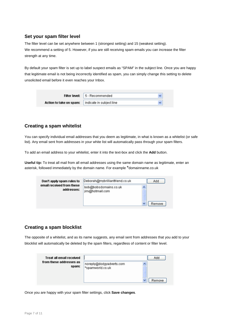#### **Set your spam filter level**

The filter level can be set anywhere between 1 (strongest setting) and 15 (weakest setting). We recommend a setting of 5. However, if you are still receiving spam emails you can increase the filter strength at any time.

By default your spam filter is set up to label suspect emails as "SPAM" in the subject line. Once you are happy that legitimate email is not being incorrectly identified as spam, you can simply change this setting to delete unsolicited email before it even reaches your Inbox.

| <b>Filter level:</b>    | 5 - Recommended          |  |
|-------------------------|--------------------------|--|
| Action to take on spam: | indicate in subject line |  |

#### **Creating a spam whitelist**

You can specify individual email addresses that you deem as legitimate, in what is known as a whitelist (or safe list). Any email sent from addresses in your white list will automatically pass through your spam filters.

To add an email address to your whitelist, enter it into the text-box and click the **Add** button.

**Useful tip:** To treat all mail from all email addresses using the same domain name as legitimate, enter an asterisk, followed immediately by the domain name. For example \*domainname.co.uk

| Don't apply spam rules to               | Deborah@mybrilliantfriend.co.uk          |   | Add    |
|-----------------------------------------|------------------------------------------|---|--------|
| email received from these<br>addresses: | bob@bobsdomains.co.uk<br>jim@hotmail.com |   |        |
|                                         |                                          |   |        |
|                                         |                                          | v | Remove |

#### **Creating a spam blocklist**

The opposite of a whitelist, and as its name suggests, any email sent from addresses that you add to your blocklist will automatically be deleted by the spam filters, regardless of content or filter level.

| Treat all email received         |                          | Add    |
|----------------------------------|--------------------------|--------|
| from these addresses as<br>spam: | noreply@dodgyadverts.com |        |
|                                  | *spamworld.co.uk         |        |
|                                  |                          | Remove |

Once you are happy with your spam filter settings, click **Save changes**.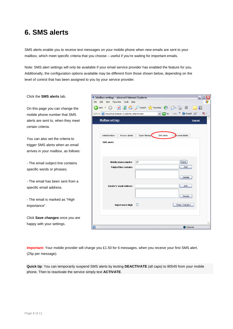### **6. SMS alerts**

SMS alerts enable you to receive text messages on your mobile phone when new emails are sent to your mailbox, which meet specific criteria that you choose – useful if you're waiting for important emails.

Note: SMS alert settings will only be available if your email service provider has enabled the feature for you. Additionally, the configuration options available may be different from those shown below, depending on the level of control that has been assigned to you by your service provider.

| Click the <b>SMS</b> alerts tab.     | $ \Box$ $\times$<br>Mailbox settings - Microsoft Internet Explorer                                                                |  |
|--------------------------------------|-----------------------------------------------------------------------------------------------------------------------------------|--|
|                                      | Edit View Favorites Tools<br>Help<br>File                                                                                         |  |
| On this page you can change the      | <b>B</b> C Search <b>C</b> Favorites <b>C</b><br>$\vert \mathbf{x} \vert$<br>$\bigodot$ Back $\tau$<br>$\boldsymbol{\mathcal{P}}$ |  |
| mobile phone number that SMS         | $ v $ $\rightarrow$ Go<br>Address <b>&amp; http://mcp.livemail.co.uk/index.php?m=sms</b><br>SnagIt E<br>$\bullet$ .<br>Links      |  |
| alerts are sent to, when they meet   | <b>Mailbox settings</b><br>Log out                                                                                                |  |
| certain criteria.                    |                                                                                                                                   |  |
| You can also set the criteria to     | SMS alerts<br>Personal details<br>Administration<br>Access details<br>Spam filtering                                              |  |
|                                      | <b>SMS</b> alerts                                                                                                                 |  |
| trigger SMS alerts when an email     |                                                                                                                                   |  |
| arrives in your mailbox, as follows: |                                                                                                                                   |  |
|                                      |                                                                                                                                   |  |
| - The email subject line contains    | Save<br> 07<br>Mobile phone number                                                                                                |  |
| specific words or phrases.           | Add<br><b>Subject line contains</b>                                                                                               |  |
|                                      | Delete                                                                                                                            |  |
| - The email has been sent from a     |                                                                                                                                   |  |
| specific email address.              | Add<br>Sender's email address                                                                                                     |  |
|                                      |                                                                                                                                   |  |
| - The email is marked as "High       | Delete                                                                                                                            |  |
|                                      | Save changes<br>Importance: High<br>п                                                                                             |  |
| importance".                         |                                                                                                                                   |  |
|                                      |                                                                                                                                   |  |
| Click Save changes once you are      |                                                                                                                                   |  |
| happy with your settings.            | e<br><b>O</b> Internet                                                                                                            |  |
|                                      |                                                                                                                                   |  |

**Important:** Your mobile provider will charge you £1.50 for 6 messages, when you receive your first SMS alert. (25p per message).

**Quick tip**: You can temporarily suspend SMS alerts by texting **DEACTIVATE** (all caps) to 80545 from your mobile phone. Then to reactivate the service simply text **ACTIVATE**.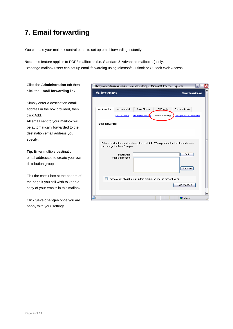### **7. Email forwarding**

You can use your mailbox control panel to set up email forwarding instantly.

**Note:** this feature applies to POP3 mailboxes (i.e. Standard & Advanced mailboxes) only. Exchange mailbox users can set up email forwarding using Microsoft Outlook or Outlook Web Access.

Click the **Administration** tab then click the **Email forwarding** link.

Simply enter a destination email address in the box provided, then click Add.

All email sent to your mailbox will be automatically forwarded to the destination email address you specify.

**Tip**: Enter multiple destination email addresses to create your own distribution groups.

Tick the check box at the bottom of the page if you still wish to keep a copy of your emails in this mailbox.

Click **Save changes** once you are happy with your settings.

|                         |                                        |                   | @ http://mcp.livemail.co.uk - Mailbox settings - Microsoft Internet Explorer | $\overline{a}$                                                                         |  |
|-------------------------|----------------------------------------|-------------------|------------------------------------------------------------------------------|----------------------------------------------------------------------------------------|--|
| <b>Mailbox settings</b> |                                        |                   |                                                                              | <b>Close this window</b>                                                               |  |
|                         |                                        |                   |                                                                              |                                                                                        |  |
| Administration          | Access details                         | Spam filtering    | SMS alerts                                                                   | Personal details                                                                       |  |
|                         | Mailbox usage                          | Autoreply messade | Email forwarding                                                             | Change mailbox password                                                                |  |
| <b>Email forwarding</b> |                                        |                   |                                                                              |                                                                                        |  |
|                         |                                        |                   |                                                                              |                                                                                        |  |
|                         |                                        |                   |                                                                              |                                                                                        |  |
|                         |                                        |                   |                                                                              | Enter a destination email address, then click Add. When you've added all the addresses |  |
|                         | you need, click Save Changes.          |                   |                                                                              |                                                                                        |  |
|                         | <b>Destination</b><br>email addresses: |                   |                                                                              | Add                                                                                    |  |
|                         |                                        |                   |                                                                              |                                                                                        |  |
|                         |                                        |                   |                                                                              |                                                                                        |  |
|                         |                                        |                   |                                                                              | Remove                                                                                 |  |
|                         |                                        |                   |                                                                              |                                                                                        |  |
|                         |                                        |                   | Leave a copy of each email in this mailbox as well as forwarding on.         |                                                                                        |  |
|                         |                                        |                   |                                                                              | Save changes                                                                           |  |
|                         |                                        |                   |                                                                              |                                                                                        |  |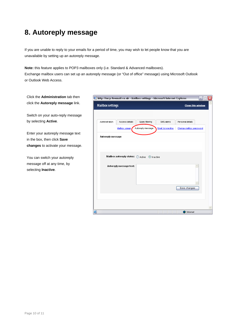### **8. Autoreply message**

If you are unable to reply to your emails for a period of time, you may wish to let people know that you are unavailable by setting up an autoreply message.

**Note:** this feature applies to POP3 mailboxes only (i.e. Standard & Advanced mailboxes).

Exchange mailbox users can set up an autoreply message (or "Out of office" message) using Microsoft Outlook or Outlook Web Access.

| tab then   | @ http://mcp.livemail.co.uk - Mailbox settings - Microsoft Internet Explorer       | ⊠<br>$-$ (c)             |
|------------|------------------------------------------------------------------------------------|--------------------------|
| sage link. | <b>Mailbox settings</b>                                                            | <b>Close this window</b> |
| y message  |                                                                                    |                          |
|            | Administration<br>Access details<br>Spam filtering<br>SMS alerts                   | Personal details         |
| ssage text | Mailbox usage<br>Autoreply message<br><b>Email forwarding</b><br>Autoreply message | Change mailbox password  |
| r message. |                                                                                    |                          |
| oreply     | Mailbox autoreply status: O Active @ Inactive                                      |                          |
| by         | Autoreply message text:                                                            |                          |
|            |                                                                                    | Save changes             |
|            |                                                                                    |                          |
|            |                                                                                    |                          |
|            | ø                                                                                  | <b>O</b> Internet        |

**Click the Administration** click the **Autoreply mes** 

Switch on your auto-reply by selecting **Active**.

Enter your autoreply mes in the box, then click **Sav changes** to activate you

You can switch your auto message off at any time, selecting **Inactive**.